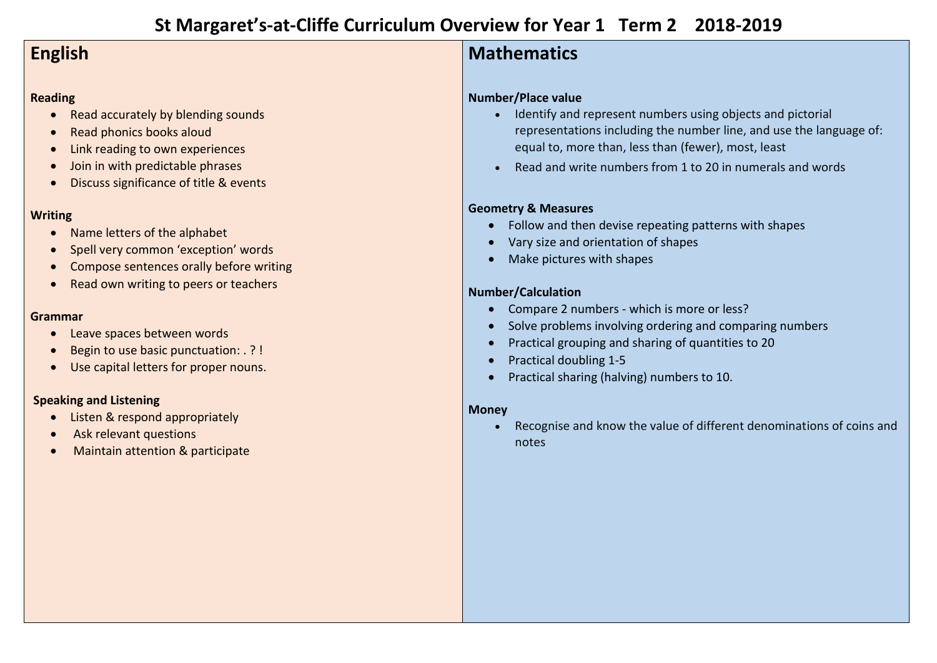# **St Margaret's-at-Cliffe Curriculum Overview for Year 1 Term 2 2018-2019**

## **English**

### **Reading**

- Read accurately by blending sounds
- Read phonics books aloud
- Link reading to own experiences
- Join in with predictable phrases
- Discuss significance of title & events

### **Writing**

- Name letters of the alphabet
- Spell very common 'exception' words
- Compose sentences orally before writing
- Read own writing to peers or teachers

#### **Grammar**

- Leave spaces between words
- Begin to use basic punctuation: . ? !
- Use capital letters for proper nouns.

### **Speaking and Listening**

- Listen & respond appropriately
- Ask relevant questions
- Maintain attention & participate

### **Mathematics**

### **Number/Place value**

- Identify and represent numbers using objects and pictorial representations including the number line, and use the language of: equal to, more than, less than (fewer), most, least
- Read and write numbers from 1 to 20 in numerals and words

### **Geometry & Measures**

- Follow and then devise repeating patterns with shapes
- Vary size and orientation of shapes
- Make pictures with shapes

### **Number/Calculation**

- Compare 2 numbers which is more or less?
- Solve problems involving ordering and comparing numbers
- Practical grouping and sharing of quantities to 20
- Practical doubling 1-5
- **•** Practical sharing (halving) numbers to 10.

### **Money**

 Recognise and know the value of different denominations of coins and notes